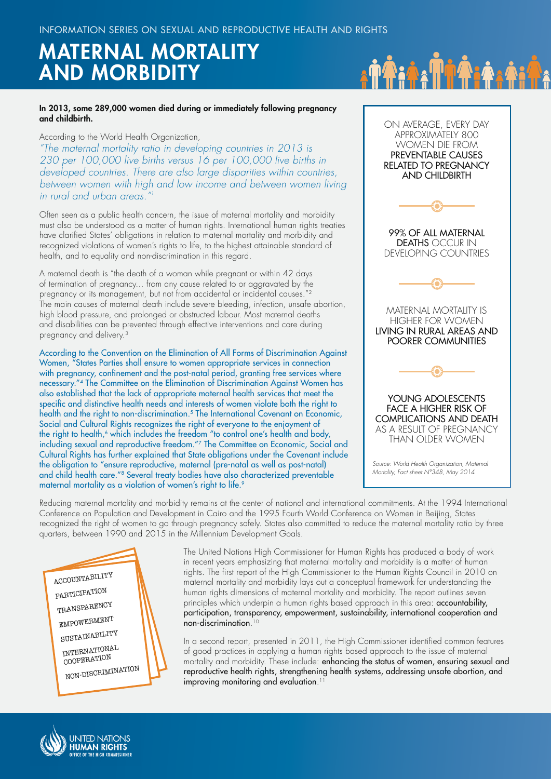# MATERNAL MORTALITY AND MORBIDITY

#### In 2013, some 289,000 women died during or immediately following pregnancy and childbirth.

According to the World Health Organization,

*"The maternal mortality ratio in developing countries in 2013 is 230 per 100,000 live births versus 16 per 100,000 live births in developed countries. There are also large disparities within countries, between women with high and low income and between women living in rural and urban areas.* 

Often seen as a public health concern, the issue of maternal mortality and morbidity must also be understood as a matter of human rights. International human rights treaties have clarified States' obligations in relation to maternal mortality and morbidity and recognized violations of women's rights to life, to the highest attainable standard of health, and to equality and non-discrimination in this regard.

A maternal death is "the death of a woman while pregnant or within 42 days of termination of pregnancy... from any cause related to or aggravated by the pregnancy or its management, but not from accidental or incidental causes."<sup>2</sup> The main causes of maternal death include severe bleeding, infection, unsafe abortion, high blood pressure, and prolonged or obstructed labour. Most maternal deaths and disabilities can be prevented through effective interventions and care during pregnancy and delivery.3

According to the Convention on the Elimination of All Forms of Discrimination Against Women, "States Parties shall ensure to women appropriate services in connection with pregnancy, confinement and the post-natal period, granting free services where necessary."4 The Committee on the Elimination of Discrimination Against Women has also established that the lack of appropriate maternal health services that meet the specific and distinctive health needs and interests of women violate both the right to health and the right to non-discrimination.<sup>5</sup> The International Covenant on Economic, Social and Cultural Rights recognizes the right of everyone to the enjoyment of the right to health,<sup>6</sup> which includes the freedom "to control one's health and body, including sexual and reproductive freedom."7 The Committee on Economic, Social and Cultural Rights has further explained that State obligations under the Covenant include the obligation to "ensure reproductive, maternal (pre-natal as well as post-natal) and child health care."8 Several treaty bodies have also characterized preventable maternal mortality as a violation of women's right to life.<sup>9</sup>

APPROXIMATELY 800 WOMEN DIE FROM PREVENTABLE CAUSES RELATED TO PREGNANCY AND CHILDBIRTH 99% OF ALL MATERNAL DEATHS OCCUR IN DEVELOPING COUNTRIES MATERNAL MORTALITY IS HIGHER FOR WOMEN LIVING IN RURAL AREAS AND POORER COMMUNITIES YOUNG ADOLESCENTS FACE A HIGHER RISK OF COMPLICATIONS AND DEATH AS A RESULT OF PREGNANCY THAN OLDER WOMEN *Source: World Health Organization, Maternal Mortality, Fact sheet N°348, May 2014*

ON AVERAGE, EVERY DAY

Reducing maternal mortality and morbidity remains at the center of national and international commitments. At the 1994 International Conference on Population and Development in Cairo and the 1995 Fourth World Conference on Women in Beijing, States recognized the right of women to go through pregnancy safely. States also committed to reduce the maternal mortality ratio by three quarters, between 1990 and 2015 in the Millennium Development Goals.

ACCOUNTABILITY PARTICIPATION TRANSPARENCY EMPOWERMENT SUSTAINABILITY INTERNATIONAL COOPERATION NON-DISCRIMINATION The United Nations High Commissioner for Human Rights has produced a body of work in recent years emphasizing that maternal mortality and morbidity is a matter of human rights. The first report of the High Commissioner to the Human Rights Council in 2010 on maternal mortality and morbidity lays out a conceptual framework for understanding the human rights dimensions of maternal mortality and morbidity. The report outlines seven principles which underpin a human rights based approach in this area: accountability, participation, transparency, empowerment, sustainability, international cooperation and non-discrimination. 10

In a second report, presented in 2011, the High Commissioner identified common features of good practices in applying a human rights based approach to the issue of maternal mortality and morbidity. These include: enhancing the status of women, ensuring sexual and reproductive health rights, strengthening health systems, addressing unsafe abortion, and improving monitoring and evaluation. 11

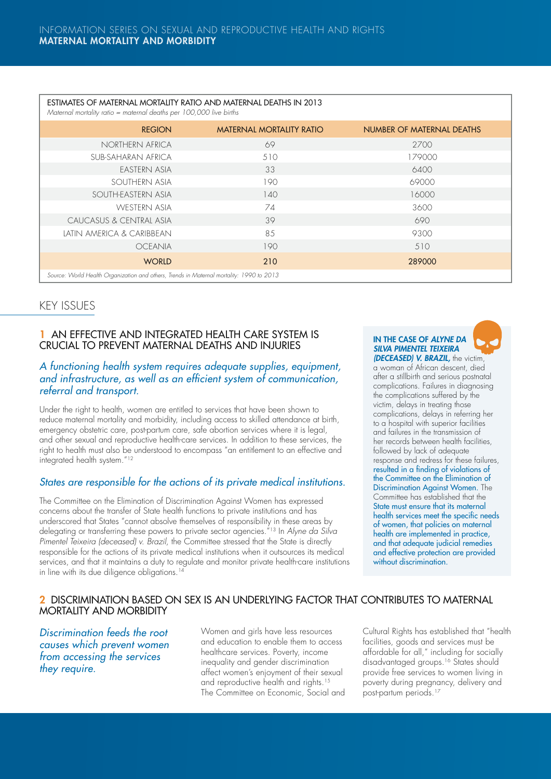| ESTIMATES OF MATERNAL MORTALITY RATIO AND MATERNAL DEATHS IN 2013<br>Maternal mortality ratio = maternal deaths per 100,000 live births |                                 |                           |
|-----------------------------------------------------------------------------------------------------------------------------------------|---------------------------------|---------------------------|
| <b>REGION</b>                                                                                                                           | <b>MATERNAL MORTALITY RATIO</b> | NUMBER OF MATERNAL DEATHS |
| NORTHERN AFRICA                                                                                                                         | 69                              | 2700                      |
| SUB-SAHARAN AFRICA                                                                                                                      | 510                             | 179000                    |
| EASTERN ASIA                                                                                                                            | 33                              | 6400                      |
| SOUTHERN ASIA                                                                                                                           | 190                             | 69000                     |
| SOUTH-EASTERN ASIA                                                                                                                      | 140                             | 16000                     |
| WESTERN ASIA                                                                                                                            | 74                              | 3600                      |
| CAUCASUS & CENTRAL ASIA                                                                                                                 | 39                              | 690                       |
| LATIN AMERICA & CARIBBEAN                                                                                                               | 85                              | 9300                      |
| <b>OCEANIA</b>                                                                                                                          | 190                             | 510                       |
| <b>WORLD</b>                                                                                                                            | 210                             | 289000                    |
| Source: World Health Organization and others, Trends in Maternal mortality: 1990 to 2013                                                |                                 |                           |

# KEY ISSUES

# 1 AN EFFECTIVE AND INTEGRATED HEALTH CARE SYSTEM IS CRUCIAL TO PREVENT MATERNAL DEATHS AND INJURIES

# *A functioning health system requires adequate supplies, equipment, and infrastructure, as well as an efficient system of communication, referral and transport.*

Under the right to health, women are entitled to services that have been shown to reduce maternal mortality and morbidity, including access to skilled attendance at birth, emergency obstetric care, post-partum care, safe abortion services where it is legal, and other sexual and reproductive health-care services. In addition to these services, the right to health must also be understood to encompass "an entitlement to an effective and integrated health system."12

# *States are responsible for the actions of its private medical institutions.*

The Committee on the Elimination of Discrimination Against Women has expressed concerns about the transfer of State health functions to private institutions and has underscored that States "cannot absolve themselves of responsibility in these areas by delegating or transferring these powers to private sector agencies."13 In *Alyne da Silva*  Pimentel Teixeira (deceased) v. Brazil, the Committee stressed that the State is directly responsible for the actions of its private medical institutions when it outsources its medical services, and that it maintains a duty to regulate and monitor private health-care institutions in line with its due diligence obligations.<sup>14</sup>

#### IN THE CASE OF *ALYNE DA SILVA PIMENTEL TEIXEIRA (DECEASED) V. BRAZIL,* the victim,

a woman of African descent, died after a stillbirth and serious postnatal complications. Failures in diagnosing the complications suffered by the victim, delays in treating those complications, delays in referring her to a hospital with superior facilities and failures in the transmission of her records between health facilities, followed by lack of adequate response and redress for these failures, resulted in a finding of violations of the Committee on the Elimination of Discrimination Against Women. The Committee has established that the State must ensure that its maternal health services meet the specific needs of women, that policies on maternal health are implemented in practice, and that adequate judicial remedies and effective protection are provided without discrimination.

# 2 DISCRIMINATION BASED ON SEX IS AN UNDERLYING FACTOR THAT CONTRIBUTES TO MATERNAL MORTALITY AND MORBIDITY

*Discrimination feeds the root causes which prevent women from accessing the services they require.* 

Women and girls have less resources and education to enable them to access healthcare services. Poverty, income inequality and gender discrimination affect women's enjoyment of their sexual and reproductive health and rights.<sup>15</sup> The Committee on Economic, Social and Cultural Rights has established that "health facilities, goods and services must be affordable for all," including for socially disadvantaged groups.<sup>16</sup> States should provide free services to women living in poverty during pregnancy, delivery and post-partum periods.17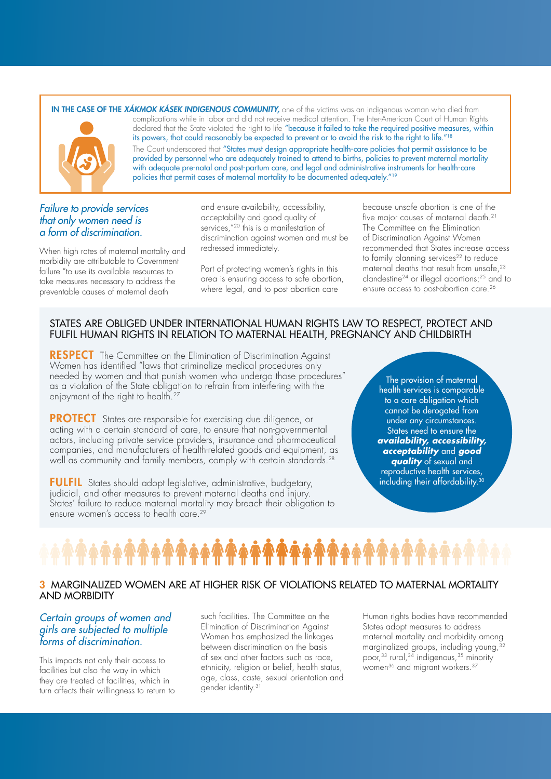#### IN THE CASE OF THE *XÁKMOK KÁSEK INDIGENOUS COMMUNITY,* one of the victims was an indigenous woman who died from complications while in labor and did not receive medical attention. The Inter-American Court of Human Rights declared that the State violated the right to life "because it failed to take the required positive measures, within



its powers, that could reasonably be expected to prevent or to avoid the risk to the right to life."<sup>18</sup> The Court underscored that "States must design appropriate health-care policies that permit assistance to be provided by personnel who are adequately trained to attend to births, policies to prevent maternal mortality with adequate pre-natal and post-partum care, and legal and administrative instruments for health-care policies that permit cases of maternal mortality to be documented adequately."<sup>19</sup>

## *Failure to provide services that only women need is a form of discrimination.*

When high rates of maternal mortality and morbidity are attributable to Government failure "to use its available resources to take measures necessary to address the preventable causes of maternal death

and ensure availability, accessibility, acceptability and good quality of services,"<sup>20</sup> this is a manifestation of discrimination against women and must be redressed immediately.

Part of protecting women's rights in this area is ensuring access to safe abortion, where legal, and to post abortion care

because unsafe abortion is one of the five major causes of maternal death.21 The Committee on the Elimination of Discrimination Against Women recommended that States increase access to family planning services<sup>22</sup> to reduce maternal deaths that result from unsafe,<sup>23</sup> clandestine24 or illegal abortions;25 and to ensure access to post-abortion care.<sup>26</sup>

# STATES ARE OBLIGED UNDER INTERNATIONAL HUMAN RIGHTS LAW TO RESPECT, PROTECT AND FULFIL HUMAN RIGHTS IN RELATION TO MATERNAL HEALTH, PREGNANCY AND CHILDBIRTH

**RESPECT** The Committee on the Elimination of Discrimination Against Women has identified "laws that criminalize medical procedures only needed by women and that punish women who undergo those procedures" as a violation of the State obligation to refrain from interfering with the enjoyment of the right to health.<sup>27</sup>

PROTECT States are responsible for exercising due diligence, or acting with a certain standard of care, to ensure that non-governmental actors, including private service providers, insurance and pharmaceutical companies, and manufacturers of health-related goods and equipment, as well as community and family members, comply with certain standards.<sup>28</sup>

FULFIL States should adopt legislative, administrative, budgetary, judicial, and other measures to prevent maternal deaths and injury. States' failure to reduce maternal mortality may breach their obligation to ensure women's access to health care.29

The provision of maternal health services is comparable to a core obligation which cannot be derogated from under any circumstances. States need to ensure the *availability, accessibility, acceptability* and *good quality* of sexual and reproductive health services, including their affordability.<sup>30</sup>

### 3 MARGINALIZED WOMEN ARE AT HIGHER RISK OF VIOLATIONS RELATED TO MATERNAL MORTALITY AND MORBIDITY

# *Certain groups of women and girls are subjected to multiple forms of discrimination.*

This impacts not only their access to facilities but also the way in which they are treated at facilities, which in turn affects their willingness to return to such facilities. The Committee on the Elimination of Discrimination Against Women has emphasized the linkages between discrimination on the basis of sex and other factors such as race, ethnicity, religion or belief, health status, age, class, caste, sexual orientation and gender identity.31

Human rights bodies have recommended States adopt measures to address maternal mortality and morbidity among marginalized groups, including young,  $32$ poor,<sup>33</sup> rural,<sup>34</sup> indigenous,<sup>35</sup> minority women<sup>36</sup> and migrant workers.<sup>37</sup>